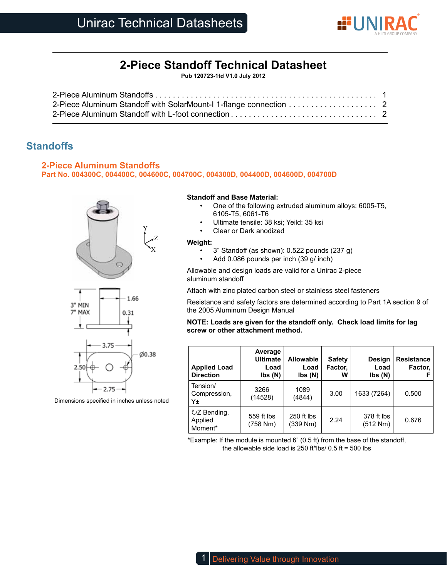

# **2-Piece Standoff Technical Datasheet**

**Pub 120723-1td V1.0 July 2012**

## **Standoffs**

### **2-Piece Aluminum Standoffs**

**Part No. 004300C, 004400C, 004600C, 004700C, 004300D, 004400D, 004600D, 004700D**







Dimensions specified in inches unless noted

#### **Standoff and Base Material:**

- One of the following extruded aluminum alloys: 6005-T5, 6105-T5, 6061-T6
- Ultimate tensile: 38 ksi; Yeild: 35 ksi
- Clear or Dark anodized

#### **Weight:**

- 3" Standoff (as shown): 0.522 pounds (237 g)
- Add 0.086 pounds per inch (39 g/ inch)

Allowable and design loads are valid for a Unirac 2-piece aluminum standoff

Attach with zinc plated carbon steel or stainless steel fasteners

Resistance and safety factors are determined according to Part 1A section 9 of the 2005 Aluminum Design Manual

#### **NOTE: Loads are given for the standoff only. Check load limits for lag screw or other attachment method.**

| <b>Applied Load</b><br><b>Direction</b> | Average<br><b>Ultimate</b><br>Load<br>$\mathsf{lbs}(\mathsf{N})$ | <b>Allowable</b><br>Load<br>$\mathsf{lbs}(\mathsf{N})$ | <b>Safety</b><br>Factor,<br>w | Design<br>Load<br>$\mathsf{lbs}(\mathsf{N})$ | <b>Resistance</b><br>Factor, |
|-----------------------------------------|------------------------------------------------------------------|--------------------------------------------------------|-------------------------------|----------------------------------------------|------------------------------|
| Tension/<br>Compression,<br>Υ±          | 3266<br>(14528)                                                  | 1089<br>(4844)                                         | 3.00                          | 1633 (7264)                                  | 0.500                        |
| UZ Bending,<br>Applied<br>Moment*       | 559 ft lbs<br>(758 Nm)                                           | 250 ft lbs<br>(339 Nm)                                 | 2.24                          | 378 ft lbs<br>(512 Nm)                       | 0.676                        |

\*Example: If the module is mounted 6" (0.5 ft) from the base of the standoff, the allowable side load is 250 ft\*lbs/  $0.5$  ft = 500 lbs